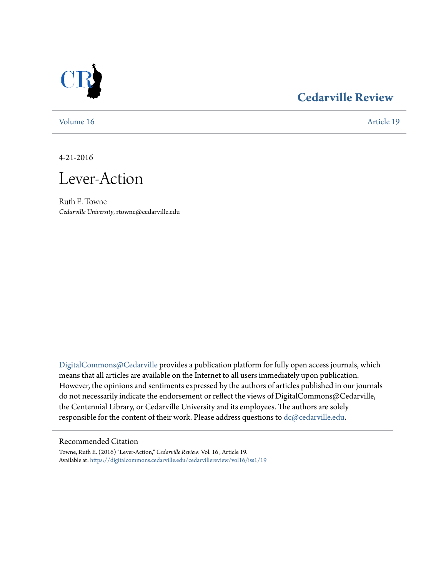

# **[Cedarville Review](https://digitalcommons.cedarville.edu/cedarvillereview?utm_source=digitalcommons.cedarville.edu%2Fcedarvillereview%2Fvol16%2Fiss1%2F19&utm_medium=PDF&utm_campaign=PDFCoverPages)**

[Volume 16](https://digitalcommons.cedarville.edu/cedarvillereview/vol16?utm_source=digitalcommons.cedarville.edu%2Fcedarvillereview%2Fvol16%2Fiss1%2F19&utm_medium=PDF&utm_campaign=PDFCoverPages) [Article 19](https://digitalcommons.cedarville.edu/cedarvillereview/vol16/iss1/19?utm_source=digitalcommons.cedarville.edu%2Fcedarvillereview%2Fvol16%2Fiss1%2F19&utm_medium=PDF&utm_campaign=PDFCoverPages)

4-21-2016

Lever-Action

Ruth E. Towne *Cedarville University*, rtowne@cedarville.edu

[DigitalCommons@Cedarville](http://digitalcommons.cedarville.edu) provides a publication platform for fully open access journals, which means that all articles are available on the Internet to all users immediately upon publication. However, the opinions and sentiments expressed by the authors of articles published in our journals do not necessarily indicate the endorsement or reflect the views of DigitalCommons@Cedarville, the Centennial Library, or Cedarville University and its employees. The authors are solely responsible for the content of their work. Please address questions to [dc@cedarville.edu](mailto:dc@cedarville.edu).

#### Recommended Citation

Towne, Ruth E. (2016) "Lever-Action," *Cedarville Review*: Vol. 16 , Article 19. Available at: [https://digitalcommons.cedarville.edu/cedarvillereview/vol16/iss1/19](https://digitalcommons.cedarville.edu/cedarvillereview/vol16/iss1/19?utm_source=digitalcommons.cedarville.edu%2Fcedarvillereview%2Fvol16%2Fiss1%2F19&utm_medium=PDF&utm_campaign=PDFCoverPages)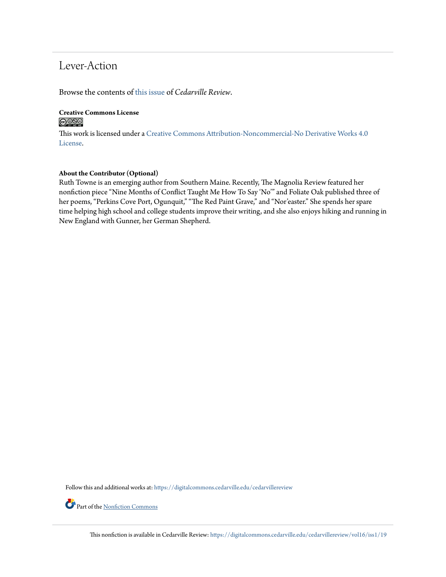# Lever-Action

Browse the contents of [this issue](https://digitalcommons.cedarville.edu/cedarvillereview/vol16/iss1) of *Cedarville Review*.

# **Creative Commons License**

This work is licensed under a [Creative Commons Attribution-Noncommercial-No Derivative Works 4.0](http://creativecommons.org/licenses/by-nc-nd/4.0/) [License.](http://creativecommons.org/licenses/by-nc-nd/4.0/)

#### **About the Contributor (Optional)**

Ruth Towne is an emerging author from Southern Maine. Recently, The Magnolia Review featured her nonfiction piece "Nine Months of Conflict Taught Me How To Say 'No'" and Foliate Oak published three of her poems, "Perkins Cove Port, Ogunquit," "The Red Paint Grave," and "Nor'easter." She spends her spare time helping high school and college students improve their writing, and she also enjoys hiking and running in New England with Gunner, her German Shepherd.

Follow this and additional works at: [https://digitalcommons.cedarville.edu/cedarvillereview](https://digitalcommons.cedarville.edu/cedarvillereview?utm_source=digitalcommons.cedarville.edu%2Fcedarvillereview%2Fvol16%2Fiss1%2F19&utm_medium=PDF&utm_campaign=PDFCoverPages)

Part of the [Nonfiction Commons](http://network.bepress.com/hgg/discipline/1152?utm_source=digitalcommons.cedarville.edu%2Fcedarvillereview%2Fvol16%2Fiss1%2F19&utm_medium=PDF&utm_campaign=PDFCoverPages)